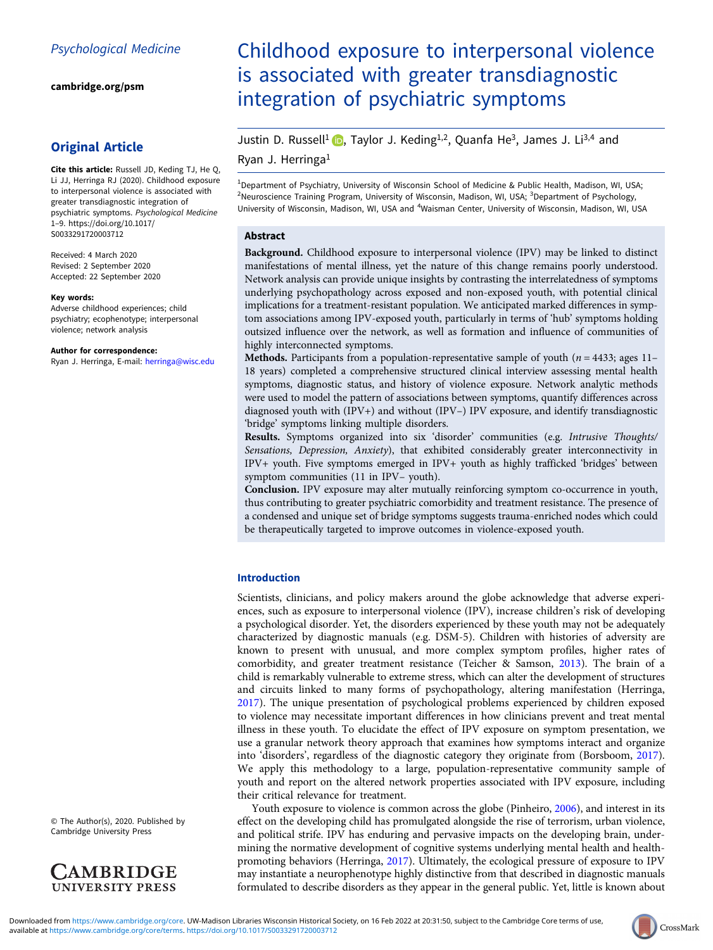[cambridge.org/psm](https://www.cambridge.org/psm)

# Original Article

Cite this article: Russell JD, Keding TJ, He Q, Li JJ, Herringa RJ (2020). Childhood exposure to interpersonal violence is associated with greater transdiagnostic integration of psychiatric symptoms. Psychological Medicine 1–9. [https://doi.org/10.1017/](https://doi.org/10.1017/S0033291720003712) [S0033291720003712](https://doi.org/10.1017/S0033291720003712)

Received: 4 March 2020 Revised: 2 September 2020 Accepted: 22 September 2020

#### Key words:

Adverse childhood experiences; child psychiatry; ecophenotype; interpersonal violence; network analysis

#### Author for correspondence:

Ryan J. Herringa, E-mail: [herringa@wisc.edu](mailto:herringa@wisc.edu)

© The Author(s), 2020. Published by Cambridge University Press



# Childhood exposure to interpersonal violence is associated with greater transdiagnostic integration of psychiatric symptoms

# Justin D. Russell<sup>1</sup> **D**[,](https://orcid.org/0000-0002-6659-2657) Taylor J. Keding<sup>1,2</sup>, Quanfa He<sup>3</sup>, James J. Li<sup>3,4</sup> and Ryan J. Herringa1

<sup>1</sup>Department of Psychiatry, University of Wisconsin School of Medicine & Public Health, Madison, WI, USA; <sup>2</sup>Neuroscience Training Program, University of Wisconsin, Madison, WI, USA; <sup>3</sup>Department of Psychology, University of Wisconsin, Madison, WI, USA and <sup>4</sup>Waisman Center, University of Wisconsin, Madison, WI, USA

# Abstract

Background. Childhood exposure to interpersonal violence (IPV) may be linked to distinct manifestations of mental illness, yet the nature of this change remains poorly understood. Network analysis can provide unique insights by contrasting the interrelatedness of symptoms underlying psychopathology across exposed and non-exposed youth, with potential clinical implications for a treatment-resistant population. We anticipated marked differences in symptom associations among IPV-exposed youth, particularly in terms of 'hub' symptoms holding outsized influence over the network, as well as formation and influence of communities of highly interconnected symptoms.

Methods. Participants from a population-representative sample of youth ( $n = 4433$ ; ages 11– 18 years) completed a comprehensive structured clinical interview assessing mental health symptoms, diagnostic status, and history of violence exposure. Network analytic methods were used to model the pattern of associations between symptoms, quantify differences across diagnosed youth with (IPV+) and without (IPV–) IPV exposure, and identify transdiagnostic 'bridge' symptoms linking multiple disorders.

Results. Symptoms organized into six 'disorder' communities (e.g. Intrusive Thoughts/ Sensations, Depression, Anxiety), that exhibited considerably greater interconnectivity in IPV+ youth. Five symptoms emerged in IPV+ youth as highly trafficked 'bridges' between symptom communities (11 in IPV– youth).

Conclusion. IPV exposure may alter mutually reinforcing symptom co-occurrence in youth, thus contributing to greater psychiatric comorbidity and treatment resistance. The presence of a condensed and unique set of bridge symptoms suggests trauma-enriched nodes which could be therapeutically targeted to improve outcomes in violence-exposed youth.

# Introduction

Scientists, clinicians, and policy makers around the globe acknowledge that adverse experiences, such as exposure to interpersonal violence (IPV), increase children's risk of developing a psychological disorder. Yet, the disorders experienced by these youth may not be adequately characterized by diagnostic manuals (e.g. DSM-5). Children with histories of adversity are known to present with unusual, and more complex symptom profiles, higher rates of comorbidity, and greater treatment resistance (Teicher & Samson, [2013\)](#page-8-0). The brain of a child is remarkably vulnerable to extreme stress, which can alter the development of structures and circuits linked to many forms of psychopathology, altering manifestation (Herringa, [2017\)](#page-7-0). The unique presentation of psychological problems experienced by children exposed to violence may necessitate important differences in how clinicians prevent and treat mental illness in these youth. To elucidate the effect of IPV exposure on symptom presentation, we use a granular network theory approach that examines how symptoms interact and organize into 'disorders', regardless of the diagnostic category they originate from (Borsboom, [2017](#page-7-0)). We apply this methodology to a large, population-representative community sample of youth and report on the altered network properties associated with IPV exposure, including their critical relevance for treatment.

Youth exposure to violence is common across the globe (Pinheiro, [2006\)](#page-8-0), and interest in its effect on the developing child has promulgated alongside the rise of terrorism, urban violence, and political strife. IPV has enduring and pervasive impacts on the developing brain, undermining the normative development of cognitive systems underlying mental health and healthpromoting behaviors (Herringa, [2017](#page-7-0)). Ultimately, the ecological pressure of exposure to IPV may instantiate a neurophenotype highly distinctive from that described in diagnostic manuals formulated to describe disorders as they appear in the general public. Yet, little is known about

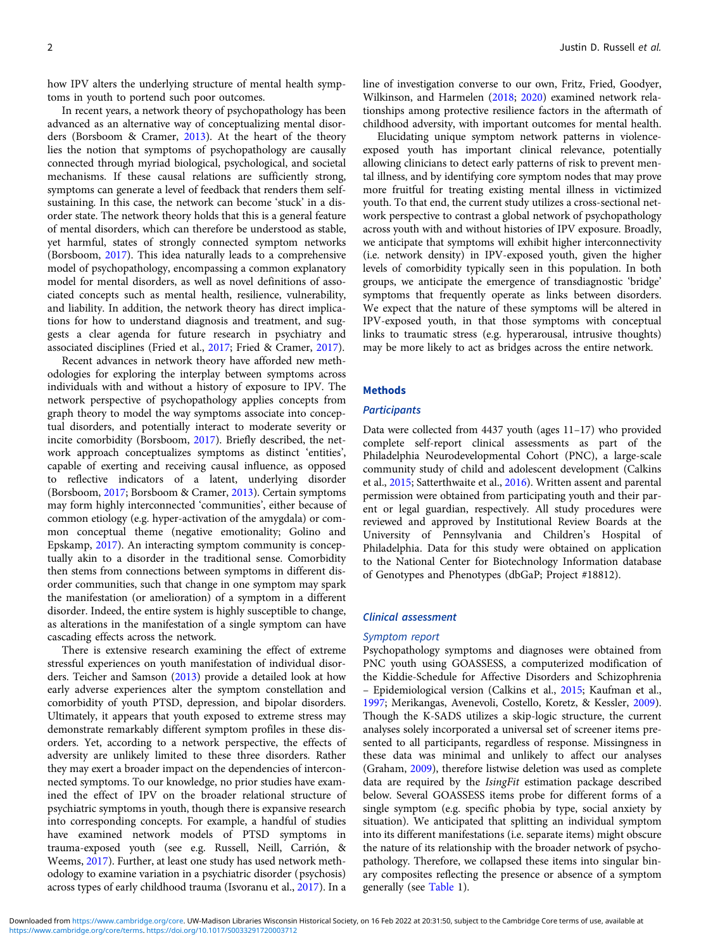how IPV alters the underlying structure of mental health symptoms in youth to portend such poor outcomes.

In recent years, a network theory of psychopathology has been advanced as an alternative way of conceptualizing mental disorders (Borsboom & Cramer, [2013](#page-7-0)). At the heart of the theory lies the notion that symptoms of psychopathology are causally connected through myriad biological, psychological, and societal mechanisms. If these causal relations are sufficiently strong, symptoms can generate a level of feedback that renders them selfsustaining. In this case, the network can become 'stuck' in a disorder state. The network theory holds that this is a general feature of mental disorders, which can therefore be understood as stable, yet harmful, states of strongly connected symptom networks (Borsboom, [2017](#page-7-0)). This idea naturally leads to a comprehensive model of psychopathology, encompassing a common explanatory model for mental disorders, as well as novel definitions of associated concepts such as mental health, resilience, vulnerability, and liability. In addition, the network theory has direct implications for how to understand diagnosis and treatment, and suggests a clear agenda for future research in psychiatry and associated disciplines (Fried et al., [2017](#page-7-0); Fried & Cramer, [2017\)](#page-7-0).

Recent advances in network theory have afforded new methodologies for exploring the interplay between symptoms across individuals with and without a history of exposure to IPV. The network perspective of psychopathology applies concepts from graph theory to model the way symptoms associate into conceptual disorders, and potentially interact to moderate severity or incite comorbidity (Borsboom, [2017](#page-7-0)). Briefly described, the network approach conceptualizes symptoms as distinct 'entities', capable of exerting and receiving causal influence, as opposed to reflective indicators of a latent, underlying disorder (Borsboom, [2017;](#page-7-0) Borsboom & Cramer, [2013\)](#page-7-0). Certain symptoms may form highly interconnected 'communities', either because of common etiology (e.g. hyper-activation of the amygdala) or common conceptual theme (negative emotionality; Golino and Epskamp, [2017](#page-7-0)). An interacting symptom community is conceptually akin to a disorder in the traditional sense. Comorbidity then stems from connections between symptoms in different disorder communities, such that change in one symptom may spark the manifestation (or amelioration) of a symptom in a different disorder. Indeed, the entire system is highly susceptible to change, as alterations in the manifestation of a single symptom can have cascading effects across the network.

There is extensive research examining the effect of extreme stressful experiences on youth manifestation of individual disorders. Teicher and Samson [\(2013](#page-8-0)) provide a detailed look at how early adverse experiences alter the symptom constellation and comorbidity of youth PTSD, depression, and bipolar disorders. Ultimately, it appears that youth exposed to extreme stress may demonstrate remarkably different symptom profiles in these disorders. Yet, according to a network perspective, the effects of adversity are unlikely limited to these three disorders. Rather they may exert a broader impact on the dependencies of interconnected symptoms. To our knowledge, no prior studies have examined the effect of IPV on the broader relational structure of psychiatric symptoms in youth, though there is expansive research into corresponding concepts. For example, a handful of studies have examined network models of PTSD symptoms in trauma-exposed youth (see e.g. Russell, Neill, Carrión, & Weems, [2017](#page-8-0)). Further, at least one study has used network methodology to examine variation in a psychiatric disorder (psychosis) across types of early childhood trauma (Isvoranu et al., [2017\)](#page-7-0). In a

line of investigation converse to our own, Fritz, Fried, Goodyer, Wilkinson, and Harmelen [\(2018;](#page-7-0) [2020\)](#page-7-0) examined network relationships among protective resilience factors in the aftermath of childhood adversity, with important outcomes for mental health.

Elucidating unique symptom network patterns in violenceexposed youth has important clinical relevance, potentially allowing clinicians to detect early patterns of risk to prevent mental illness, and by identifying core symptom nodes that may prove more fruitful for treating existing mental illness in victimized youth. To that end, the current study utilizes a cross-sectional network perspective to contrast a global network of psychopathology across youth with and without histories of IPV exposure. Broadly, we anticipate that symptoms will exhibit higher interconnectivity (i.e. network density) in IPV-exposed youth, given the higher levels of comorbidity typically seen in this population. In both groups, we anticipate the emergence of transdiagnostic 'bridge' symptoms that frequently operate as links between disorders. We expect that the nature of these symptoms will be altered in IPV-exposed youth, in that those symptoms with conceptual links to traumatic stress (e.g. hyperarousal, intrusive thoughts) may be more likely to act as bridges across the entire network.

# **Methods**

#### **Participants**

Data were collected from 4437 youth (ages 11–17) who provided complete self-report clinical assessments as part of the Philadelphia Neurodevelopmental Cohort (PNC), a large-scale community study of child and adolescent development (Calkins et al., [2015;](#page-7-0) Satterthwaite et al., [2016](#page-8-0)). Written assent and parental permission were obtained from participating youth and their parent or legal guardian, respectively. All study procedures were reviewed and approved by Institutional Review Boards at the University of Pennsylvania and Children's Hospital of Philadelphia. Data for this study were obtained on application to the National Center for Biotechnology Information database of Genotypes and Phenotypes (dbGaP; Project #18812).

#### Clinical assessment

#### Symptom report

Psychopathology symptoms and diagnoses were obtained from PNC youth using GOASSESS, a computerized modification of the Kiddie-Schedule for Affective Disorders and Schizophrenia – Epidemiological version (Calkins et al., [2015;](#page-7-0) Kaufman et al., [1997;](#page-7-0) Merikangas, Avenevoli, Costello, Koretz, & Kessler, [2009](#page-8-0)). Though the K-SADS utilizes a skip-logic structure, the current analyses solely incorporated a universal set of screener items presented to all participants, regardless of response. Missingness in these data was minimal and unlikely to affect our analyses (Graham, [2009](#page-7-0)), therefore listwise deletion was used as complete data are required by the IsingFit estimation package described below. Several GOASSESS items probe for different forms of a single symptom (e.g. specific phobia by type, social anxiety by situation). We anticipated that splitting an individual symptom into its different manifestations (i.e. separate items) might obscure the nature of its relationship with the broader network of psychopathology. Therefore, we collapsed these items into singular binary composites reflecting the presence or absence of a symptom generally (see [Table](#page-2-0) 1).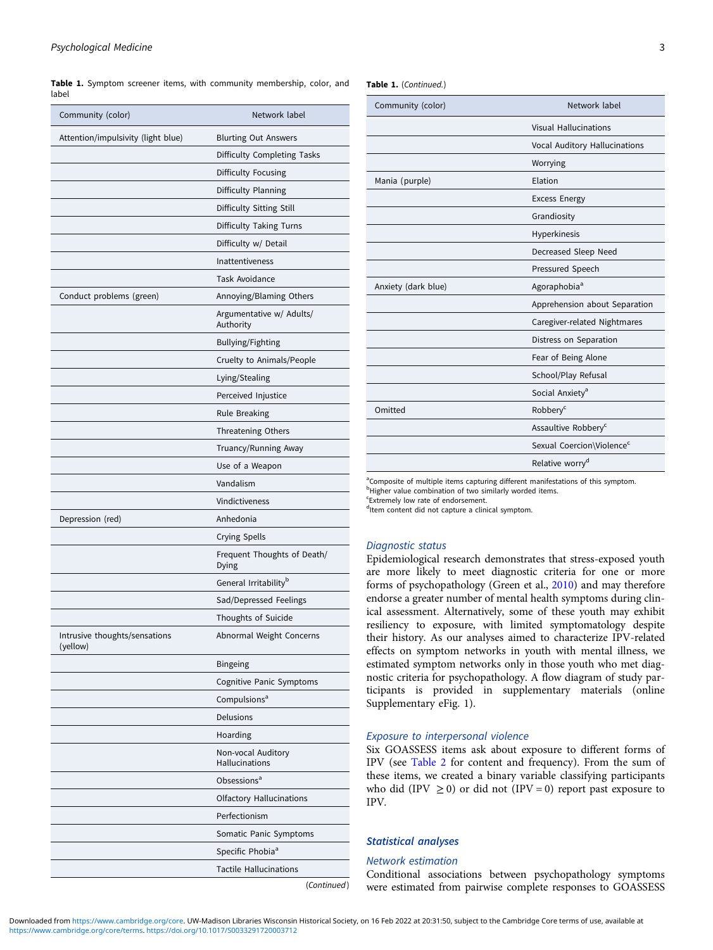<span id="page-2-0"></span>Table 1. Symptom screener items, with community membership, color, and label

| Community (color)                         | Network label                         |  |
|-------------------------------------------|---------------------------------------|--|
| Attention/impulsivity (light blue)        | <b>Blurting Out Answers</b>           |  |
|                                           | Difficulty Completing Tasks           |  |
|                                           | Difficulty Focusing                   |  |
|                                           | Difficulty Planning                   |  |
|                                           | Difficulty Sitting Still              |  |
|                                           | Difficulty Taking Turns               |  |
|                                           | Difficulty w/ Detail                  |  |
|                                           | Inattentiveness                       |  |
|                                           | Task Avoidance                        |  |
| Conduct problems (green)                  | Annoying/Blaming Others               |  |
|                                           | Argumentative w/ Adults/<br>Authority |  |
|                                           | Bullying/Fighting                     |  |
|                                           | Cruelty to Animals/People             |  |
|                                           | Lying/Stealing                        |  |
|                                           | Perceived Injustice                   |  |
|                                           | <b>Rule Breaking</b>                  |  |
|                                           | Threatening Others                    |  |
|                                           | Truancy/Running Away                  |  |
|                                           | Use of a Weapon                       |  |
|                                           | Vandalism                             |  |
|                                           | Vindictiveness                        |  |
| Depression (red)                          | Anhedonia                             |  |
|                                           | Crying Spells                         |  |
|                                           | Frequent Thoughts of Death/<br>Dying  |  |
|                                           | General Irritability <sup>b</sup>     |  |
|                                           | Sad/Depressed Feelings                |  |
|                                           | Thoughts of Suicide                   |  |
| Intrusive thoughts/sensations<br>(yellow) | Abnormal Weight Concerns              |  |
|                                           | <b>Bingeing</b>                       |  |
|                                           | Cognitive Panic Symptoms              |  |
|                                           | Compulsions <sup>a</sup>              |  |
|                                           | Delusions                             |  |
|                                           | Hoarding                              |  |
|                                           | Non-vocal Auditory<br>Hallucinations  |  |
|                                           | Obsessions <sup>a</sup>               |  |
|                                           | <b>Olfactory Hallucinations</b>       |  |
|                                           | Perfectionism                         |  |
|                                           | Somatic Panic Symptoms                |  |
|                                           | Specific Phobia <sup>a</sup>          |  |
|                                           | <b>Tactile Hallucinations</b>         |  |
|                                           | (Continued)                           |  |

Table 1. (Continued.)

| Community (color)   | Network label                         |  |  |
|---------------------|---------------------------------------|--|--|
|                     | <b>Visual Hallucinations</b>          |  |  |
|                     | Vocal Auditory Hallucinations         |  |  |
|                     | Worrying                              |  |  |
| Mania (purple)      | Elation                               |  |  |
|                     | <b>Excess Energy</b>                  |  |  |
|                     | Grandiosity                           |  |  |
|                     | Hyperkinesis                          |  |  |
|                     | Decreased Sleep Need                  |  |  |
|                     | Pressured Speech                      |  |  |
| Anxiety (dark blue) | Agoraphobia <sup>a</sup>              |  |  |
|                     | Apprehension about Separation         |  |  |
|                     | Caregiver-related Nightmares          |  |  |
|                     | Distress on Separation                |  |  |
|                     | Fear of Being Alone                   |  |  |
|                     | School/Play Refusal                   |  |  |
|                     | Social Anxiety <sup>a</sup>           |  |  |
| Omitted             | Robbery <sup>c</sup>                  |  |  |
|                     | Assaultive Robbery <sup>c</sup>       |  |  |
|                     | Sexual Coercion\Violence <sup>c</sup> |  |  |
|                     | Relative worry <sup>d</sup>           |  |  |

<sup>a</sup>Composite of multiple items capturing different manifestations of this symptom.

<sup>b</sup>Higher value combination of two similarly worded items. c Extremely low rate of endorsement.

dItem content did not capture a clinical symptom.

## Diagnostic status

Epidemiological research demonstrates that stress-exposed youth are more likely to meet diagnostic criteria for one or more forms of psychopathology (Green et al., [2010](#page-7-0)) and may therefore endorse a greater number of mental health symptoms during clinical assessment. Alternatively, some of these youth may exhibit resiliency to exposure, with limited symptomatology despite their history. As our analyses aimed to characterize IPV-related effects on symptom networks in youth with mental illness, we estimated symptom networks only in those youth who met diagnostic criteria for psychopathology. A flow diagram of study participants is provided in supplementary materials (online Supplementary eFig. 1).

#### Exposure to interpersonal violence

Six GOASSESS items ask about exposure to different forms of IPV (see [Table 2](#page-3-0) for content and frequency). From the sum of these items, we created a binary variable classifying participants who did (IPV  $\geq$  0) or did not (IPV = 0) report past exposure to IPV.

# Statistical analyses

# Network estimation

Conditional associations between psychopathology symptoms were estimated from pairwise complete responses to GOASSESS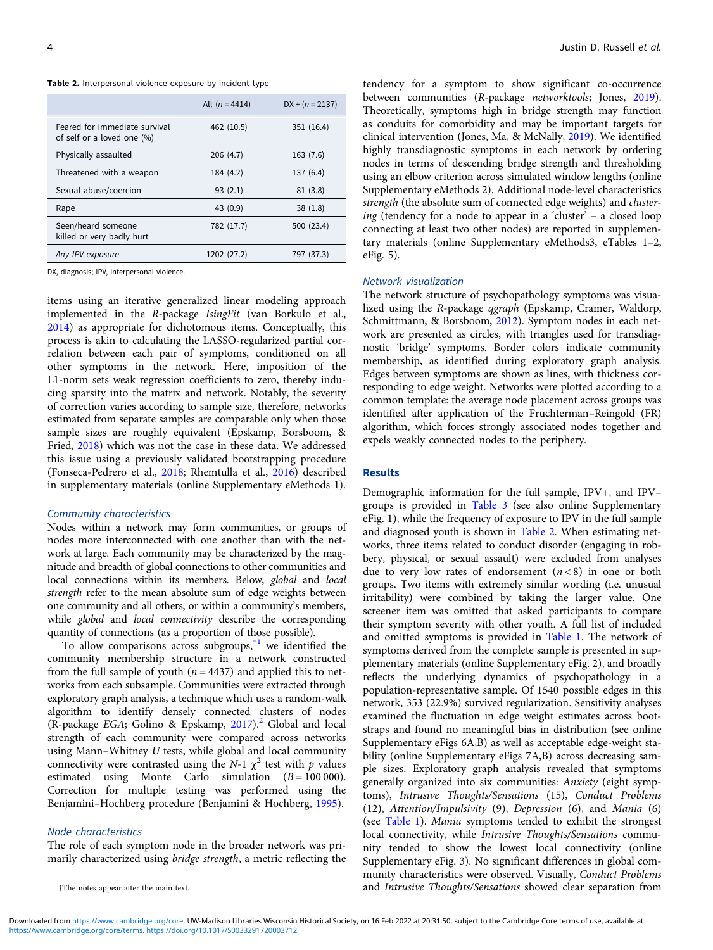<span id="page-3-0"></span>Table 2. Interpersonal violence exposure by incident type

|                                                             | All $(n = 4414)$ | $DX + (n = 2137)$ |
|-------------------------------------------------------------|------------------|-------------------|
| Feared for immediate survival<br>of self or a loved one (%) | 462 (10.5)       | 351 (16.4)        |
| Physically assaulted                                        | 206(4.7)         | 163 (7.6)         |
| Threatened with a weapon                                    | 184 (4.2)        | 137 (6.4)         |
| Sexual abuse/coercion                                       | 93(2.1)          | 81(3.8)           |
| Rape                                                        | 43(0.9)          | 38(1.8)           |
| Seen/heard someone<br>killed or very badly hurt             | 782 (17.7)       | 500 (23.4)        |
| Any IPV exposure                                            | 1202 (27.2)      | 797 (37.3)        |

DX, diagnosis; IPV, interpersonal violence.

items using an iterative generalized linear modeling approach implemented in the R-package IsingFit (van Borkulo et al., [2014\)](#page-8-0) as appropriate for dichotomous items. Conceptually, this process is akin to calculating the LASSO-regularized partial correlation between each pair of symptoms, conditioned on all other symptoms in the network. Here, imposition of the L1-norm sets weak regression coefficients to zero, thereby inducing sparsity into the matrix and network. Notably, the severity of correction varies according to sample size, therefore, networks estimated from separate samples are comparable only when those sample sizes are roughly equivalent (Epskamp, Borsboom, & Fried, [2018\)](#page-7-0) which was not the case in these data. We addressed this issue using a previously validated bootstrapping procedure (Fonseca-Pedrero et al., [2018](#page-7-0); Rhemtulla et al., [2016\)](#page-8-0) described in supplementary materials (online Supplementary eMethods 1).

#### Community characteristics

Nodes within a network may form communities, or groups of nodes more interconnected with one another than with the network at large. Each community may be characterized by the magnitude and breadth of global connections to other communities and local connections within its members. Below, global and local strength refer to the mean absolute sum of edge weights between one community and all others, or within a community's members, while global and local connectivity describe the corresponding quantity of connections (as a proportion of those possible).

To allow comparisons across subgroups, $+1$  $+1$  we identified the community membership structure in a network constructed from the full sample of youth ( $n = 4437$ ) and applied this to networks from each subsample. Communities were extracted through exploratory graph analysis, a technique which uses a random-walk algorithm to identify densely connected clusters of nodes (R-package *EGA*; Golino & Epskamp,  $2017$ ).<sup>[2](#page-7-0)</sup> Global and local strength of each community were compared across networks using Mann–Whitney U tests, while global and local community connectivity were contrasted using the N-1  $\chi^2$  test with p values estimated using Monte Carlo simulation  $(B = 100000)$ . Correction for multiple testing was performed using the Benjamini–Hochberg procedure (Benjamini & Hochberg, [1995\)](#page-7-0).

#### Node characteristics

The role of each symptom node in the broader network was primarily characterized using bridge strength, a metric reflecting the tendency for a symptom to show significant co-occurrence between communities (R-package networktools; Jones, [2019](#page-7-0)). Theoretically, symptoms high in bridge strength may function as conduits for comorbidity and may be important targets for clinical intervention (Jones, Ma, & McNally, [2019](#page-7-0)). We identified highly transdiagnostic symptoms in each network by ordering nodes in terms of descending bridge strength and thresholding using an elbow criterion across simulated window lengths (online Supplementary eMethods 2). Additional node-level characteristics strength (the absolute sum of connected edge weights) and clustering (tendency for a node to appear in a 'cluster' – a closed loop connecting at least two other nodes) are reported in supplementary materials (online Supplementary eMethods3, eTables 1–2, eFig. 5).

# Network visualization

The network structure of psychopathology symptoms was visualized using the R-package qgraph (Epskamp, Cramer, Waldorp, Schmittmann, & Borsboom, [2012\)](#page-7-0). Symptom nodes in each network are presented as circles, with triangles used for transdiagnostic 'bridge' symptoms. Border colors indicate community membership, as identified during exploratory graph analysis. Edges between symptoms are shown as lines, with thickness corresponding to edge weight. Networks were plotted according to a common template: the average node placement across groups was identified after application of the Fruchterman–Reingold (FR) algorithm, which forces strongly associated nodes together and expels weakly connected nodes to the periphery.

# **Results**

Demographic information for the full sample, IPV+, and IPV– groups is provided in [Table 3](#page-4-0) (see also online Supplementary eFig. 1), while the frequency of exposure to IPV in the full sample and diagnosed youth is shown in Table 2. When estimating networks, three items related to conduct disorder (engaging in robbery, physical, or sexual assault) were excluded from analyses due to very low rates of endorsement  $(n < 8)$  in one or both groups. Two items with extremely similar wording (i.e. unusual irritability) were combined by taking the larger value. One screener item was omitted that asked participants to compare their symptom severity with other youth. A full list of included and omitted symptoms is provided in [Table 1.](#page-2-0) The network of symptoms derived from the complete sample is presented in supplementary materials (online Supplementary eFig. 2), and broadly reflects the underlying dynamics of psychopathology in a population-representative sample. Of 1540 possible edges in this network, 353 (22.9%) survived regularization. Sensitivity analyses examined the fluctuation in edge weight estimates across bootstraps and found no meaningful bias in distribution (see online Supplementary eFigs 6A,B) as well as acceptable edge-weight stability (online Supplementary eFigs 7A,B) across decreasing sample sizes. Exploratory graph analysis revealed that symptoms generally organized into six communities: Anxiety (eight symptoms), Intrusive Thoughts/Sensations (15), Conduct Problems (12), Attention/Impulsivity (9), Depression (6), and Mania (6) (see [Table 1](#page-2-0)). Mania symptoms tended to exhibit the strongest local connectivity, while Intrusive Thoughts/Sensations community tended to show the lowest local connectivity (online Supplementary eFig. 3). No significant differences in global community characteristics were observed. Visually, Conduct Problems and Intrusive Thoughts/Sensations showed clear separation from

<sup>†</sup>The notes appear after the main text.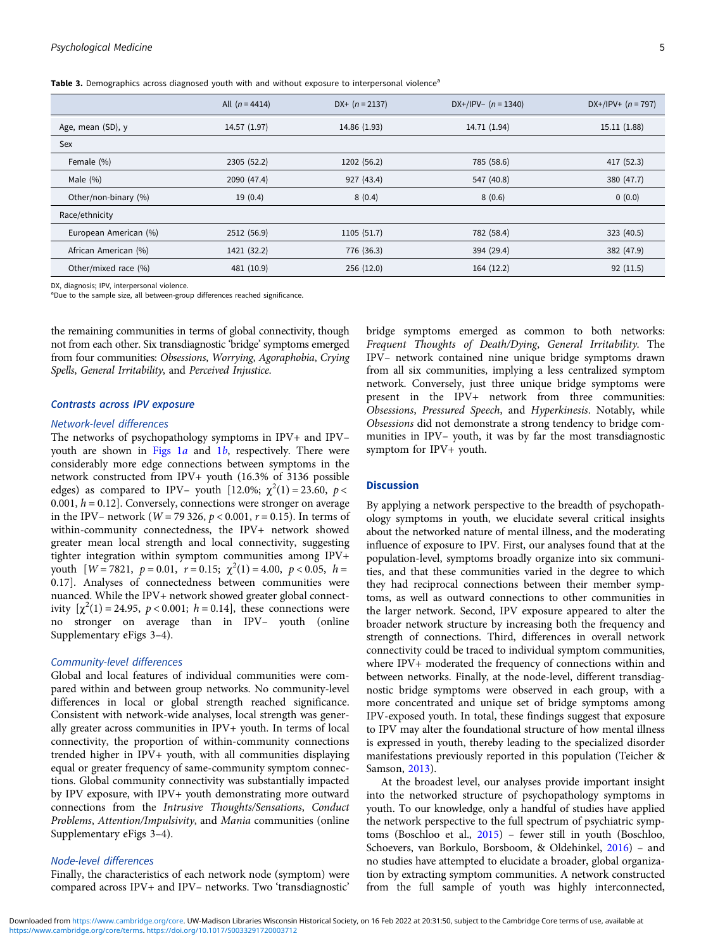<span id="page-4-0"></span>**Table 3.** Demographics across diagnosed youth with and without exposure to interpersonal violence<sup>a</sup>

|                       | All $(n = 4414)$ | $DX+ (n = 2137)$ | $DX+/IPV- (n = 1340)$ | $DX+/IPV+ (n = 797)$ |
|-----------------------|------------------|------------------|-----------------------|----------------------|
| Age, mean (SD), y     | 14.57 (1.97)     | 14.86 (1.93)     | 14.71 (1.94)          | 15.11 (1.88)         |
| Sex                   |                  |                  |                       |                      |
| Female (%)            | 2305 (52.2)      | 1202 (56.2)      | 785 (58.6)            | 417 (52.3)           |
| Male $(\% )$          | 2090 (47.4)      | 927 (43.4)       | 547 (40.8)            | 380 (47.7)           |
| Other/non-binary (%)  | 19(0.4)          | 8(0.4)           | 8(0.6)                | 0(0.0)               |
| Race/ethnicity        |                  |                  |                       |                      |
| European American (%) | 2512 (56.9)      | 1105(51.7)       | 782 (58.4)            | 323 (40.5)           |
| African American (%)  | 1421 (32.2)      | 776 (36.3)       | 394 (29.4)            | 382 (47.9)           |
| Other/mixed race (%)  | 481 (10.9)       | 256(12.0)        | 164 (12.2)            | 92(11.5)             |

DX, diagnosis; IPV, interpersonal violence.

<sup>a</sup>Due to the sample size, all between-group differences reached significance.

the remaining communities in terms of global connectivity, though not from each other. Six transdiagnostic 'bridge' symptoms emerged from four communities: Obsessions, Worrying, Agoraphobia, Crying Spells, General Irritability, and Perceived Injustice.

#### Contrasts across IPV exposure

#### Network-level differences

The networks of psychopathology symptoms in IPV+ and IPV– youth are shown in Figs  $1a$  $1a$  and  $1b$ , respectively. There were considerably more edge connections between symptoms in the network constructed from IPV+ youth (16.3% of 3136 possible edges) as compared to IPV- youth [12.0%;  $\chi^2(1) = 23.60$ ,  $p <$ 0.001,  $h = 0.12$ ]. Conversely, connections were stronger on average in the IPV– network ( $W = 79326$ ,  $p < 0.001$ ,  $r = 0.15$ ). In terms of within-community connectedness, the IPV+ network showed greater mean local strength and local connectivity, suggesting tighter integration within symptom communities among IPV+ youth  $[W = 7821, p = 0.01, r = 0.15; \chi^2(1) = 4.00, p < 0.05, h =$ 0.17]. Analyses of connectedness between communities were nuanced. While the IPV+ network showed greater global connectivity  $[\chi^2(1) = 24.95, p < 0.001; h = 0.14]$ , these connections were no stronger on average than in IPV– youth (online Supplementary eFigs 3–4).

#### Community-level differences

Global and local features of individual communities were compared within and between group networks. No community-level differences in local or global strength reached significance. Consistent with network-wide analyses, local strength was generally greater across communities in IPV+ youth. In terms of local connectivity, the proportion of within-community connections trended higher in IPV+ youth, with all communities displaying equal or greater frequency of same-community symptom connections. Global community connectivity was substantially impacted by IPV exposure, with IPV+ youth demonstrating more outward connections from the Intrusive Thoughts/Sensations, Conduct Problems, Attention/Impulsivity, and Mania communities (online Supplementary eFigs 3–4).

# Node-level differences

Finally, the characteristics of each network node (symptom) were compared across IPV+ and IPV– networks. Two 'transdiagnostic'

bridge symptoms emerged as common to both networks: Frequent Thoughts of Death/Dying, General Irritability. The IPV– network contained nine unique bridge symptoms drawn from all six communities, implying a less centralized symptom network. Conversely, just three unique bridge symptoms were present in the IPV+ network from three communities: Obsessions, Pressured Speech, and Hyperkinesis. Notably, while Obsessions did not demonstrate a strong tendency to bridge communities in IPV– youth, it was by far the most transdiagnostic symptom for IPV+ youth.

# Discussion

By applying a network perspective to the breadth of psychopathology symptoms in youth, we elucidate several critical insights about the networked nature of mental illness, and the moderating influence of exposure to IPV. First, our analyses found that at the population-level, symptoms broadly organize into six communities, and that these communities varied in the degree to which they had reciprocal connections between their member symptoms, as well as outward connections to other communities in the larger network. Second, IPV exposure appeared to alter the broader network structure by increasing both the frequency and strength of connections. Third, differences in overall network connectivity could be traced to individual symptom communities, where IPV+ moderated the frequency of connections within and between networks. Finally, at the node-level, different transdiagnostic bridge symptoms were observed in each group, with a more concentrated and unique set of bridge symptoms among IPV-exposed youth. In total, these findings suggest that exposure to IPV may alter the foundational structure of how mental illness is expressed in youth, thereby leading to the specialized disorder manifestations previously reported in this population (Teicher & Samson, [2013](#page-8-0)).

At the broadest level, our analyses provide important insight into the networked structure of psychopathology symptoms in youth. To our knowledge, only a handful of studies have applied the network perspective to the full spectrum of psychiatric symptoms (Boschloo et al., [2015\)](#page-7-0) – fewer still in youth (Boschloo, Schoevers, van Borkulo, Borsboom, & Oldehinkel, [2016](#page-7-0)) – and no studies have attempted to elucidate a broader, global organization by extracting symptom communities. A network constructed from the full sample of youth was highly interconnected,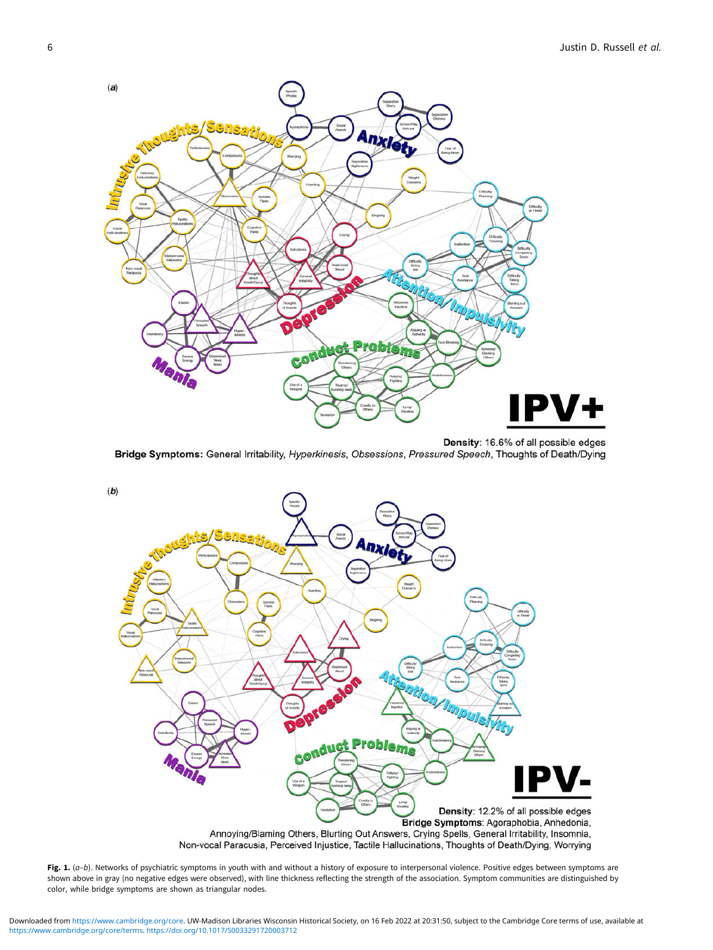<span id="page-5-0"></span>

Density: 16.6% of all possible edges Bridge Symptoms: General Irritability, Hyperkinesis, Obsessions, Pressured Speech, Thoughts of Death/Dying



Fig. 1. (a-b). Networks of psychiatric symptoms in youth with and without a history of exposure to interpersonal violence. Positive edges between symptoms are shown above in gray (no negative edges were observed), with line thickness reflecting the strength of the association. Symptom communities are distinguished by color, while bridge symptoms are shown as triangular nodes.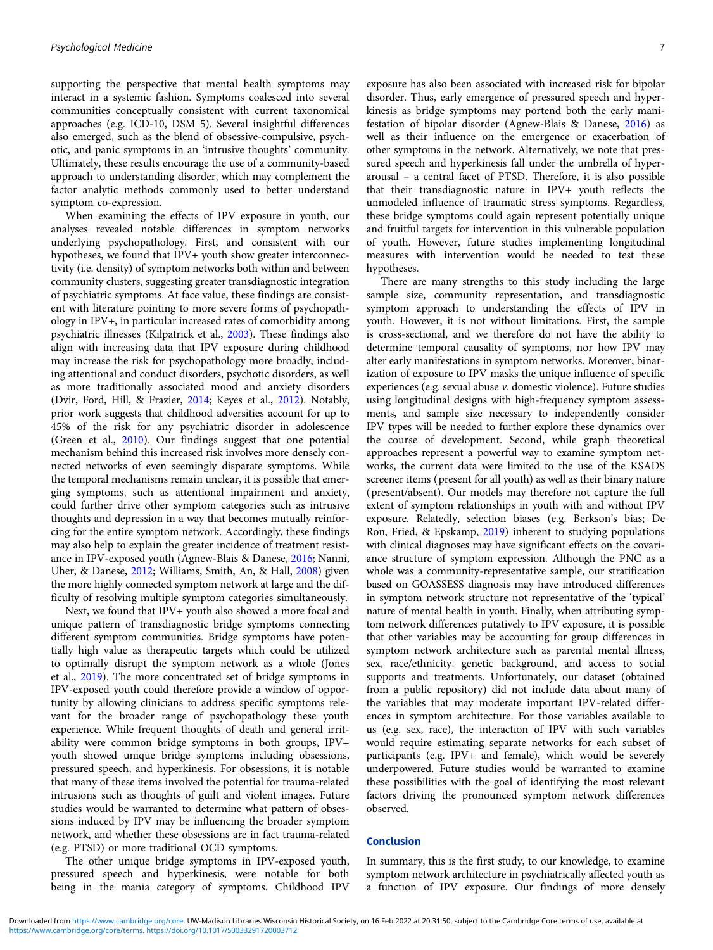supporting the perspective that mental health symptoms may interact in a systemic fashion. Symptoms coalesced into several communities conceptually consistent with current taxonomical approaches (e.g. ICD-10, DSM 5). Several insightful differences also emerged, such as the blend of obsessive-compulsive, psychotic, and panic symptoms in an 'intrusive thoughts' community. Ultimately, these results encourage the use of a community-based approach to understanding disorder, which may complement the factor analytic methods commonly used to better understand symptom co-expression.

When examining the effects of IPV exposure in youth, our analyses revealed notable differences in symptom networks underlying psychopathology. First, and consistent with our hypotheses, we found that IPV+ youth show greater interconnectivity (i.e. density) of symptom networks both within and between community clusters, suggesting greater transdiagnostic integration of psychiatric symptoms. At face value, these findings are consistent with literature pointing to more severe forms of psychopathology in IPV+, in particular increased rates of comorbidity among psychiatric illnesses (Kilpatrick et al., [2003](#page-8-0)). These findings also align with increasing data that IPV exposure during childhood may increase the risk for psychopathology more broadly, including attentional and conduct disorders, psychotic disorders, as well as more traditionally associated mood and anxiety disorders (Dvir, Ford, Hill, & Frazier, [2014;](#page-7-0) Keyes et al., [2012](#page-7-0)). Notably, prior work suggests that childhood adversities account for up to 45% of the risk for any psychiatric disorder in adolescence (Green et al., [2010](#page-7-0)). Our findings suggest that one potential mechanism behind this increased risk involves more densely connected networks of even seemingly disparate symptoms. While the temporal mechanisms remain unclear, it is possible that emerging symptoms, such as attentional impairment and anxiety, could further drive other symptom categories such as intrusive thoughts and depression in a way that becomes mutually reinforcing for the entire symptom network. Accordingly, these findings may also help to explain the greater incidence of treatment resistance in IPV-exposed youth (Agnew-Blais & Danese, [2016](#page-7-0); Nanni, Uher, & Danese, [2012;](#page-8-0) Williams, Smith, An, & Hall, [2008\)](#page-8-0) given the more highly connected symptom network at large and the difficulty of resolving multiple symptom categories simultaneously.

Next, we found that IPV+ youth also showed a more focal and unique pattern of transdiagnostic bridge symptoms connecting different symptom communities. Bridge symptoms have potentially high value as therapeutic targets which could be utilized to optimally disrupt the symptom network as a whole (Jones et al., [2019\)](#page-7-0). The more concentrated set of bridge symptoms in IPV-exposed youth could therefore provide a window of opportunity by allowing clinicians to address specific symptoms relevant for the broader range of psychopathology these youth experience. While frequent thoughts of death and general irritability were common bridge symptoms in both groups, IPV+ youth showed unique bridge symptoms including obsessions, pressured speech, and hyperkinesis. For obsessions, it is notable that many of these items involved the potential for trauma-related intrusions such as thoughts of guilt and violent images. Future studies would be warranted to determine what pattern of obsessions induced by IPV may be influencing the broader symptom network, and whether these obsessions are in fact trauma-related (e.g. PTSD) or more traditional OCD symptoms.

The other unique bridge symptoms in IPV-exposed youth, pressured speech and hyperkinesis, were notable for both being in the mania category of symptoms. Childhood IPV

exposure has also been associated with increased risk for bipolar disorder. Thus, early emergence of pressured speech and hyperkinesis as bridge symptoms may portend both the early manifestation of bipolar disorder (Agnew-Blais & Danese, [2016](#page-7-0)) as well as their influence on the emergence or exacerbation of other symptoms in the network. Alternatively, we note that pressured speech and hyperkinesis fall under the umbrella of hyperarousal – a central facet of PTSD. Therefore, it is also possible that their transdiagnostic nature in IPV+ youth reflects the unmodeled influence of traumatic stress symptoms. Regardless, these bridge symptoms could again represent potentially unique and fruitful targets for intervention in this vulnerable population of youth. However, future studies implementing longitudinal measures with intervention would be needed to test these hypotheses.

There are many strengths to this study including the large sample size, community representation, and transdiagnostic symptom approach to understanding the effects of IPV in youth. However, it is not without limitations. First, the sample is cross-sectional, and we therefore do not have the ability to determine temporal causality of symptoms, nor how IPV may alter early manifestations in symptom networks. Moreover, binarization of exposure to IPV masks the unique influence of specific experiences (e.g. sexual abuse v. domestic violence). Future studies using longitudinal designs with high-frequency symptom assessments, and sample size necessary to independently consider IPV types will be needed to further explore these dynamics over the course of development. Second, while graph theoretical approaches represent a powerful way to examine symptom networks, the current data were limited to the use of the KSADS screener items (present for all youth) as well as their binary nature (present/absent). Our models may therefore not capture the full extent of symptom relationships in youth with and without IPV exposure. Relatedly, selection biases (e.g. Berkson's bias; De Ron, Fried, & Epskamp, [2019\)](#page-7-0) inherent to studying populations with clinical diagnoses may have significant effects on the covariance structure of symptom expression. Although the PNC as a whole was a community-representative sample, our stratification based on GOASSESS diagnosis may have introduced differences in symptom network structure not representative of the 'typical' nature of mental health in youth. Finally, when attributing symptom network differences putatively to IPV exposure, it is possible that other variables may be accounting for group differences in symptom network architecture such as parental mental illness, sex, race/ethnicity, genetic background, and access to social supports and treatments. Unfortunately, our dataset (obtained from a public repository) did not include data about many of the variables that may moderate important IPV-related differences in symptom architecture. For those variables available to us (e.g. sex, race), the interaction of IPV with such variables would require estimating separate networks for each subset of participants (e.g. IPV+ and female), which would be severely underpowered. Future studies would be warranted to examine these possibilities with the goal of identifying the most relevant factors driving the pronounced symptom network differences observed.

#### Conclusion

In summary, this is the first study, to our knowledge, to examine symptom network architecture in psychiatrically affected youth as a function of IPV exposure. Our findings of more densely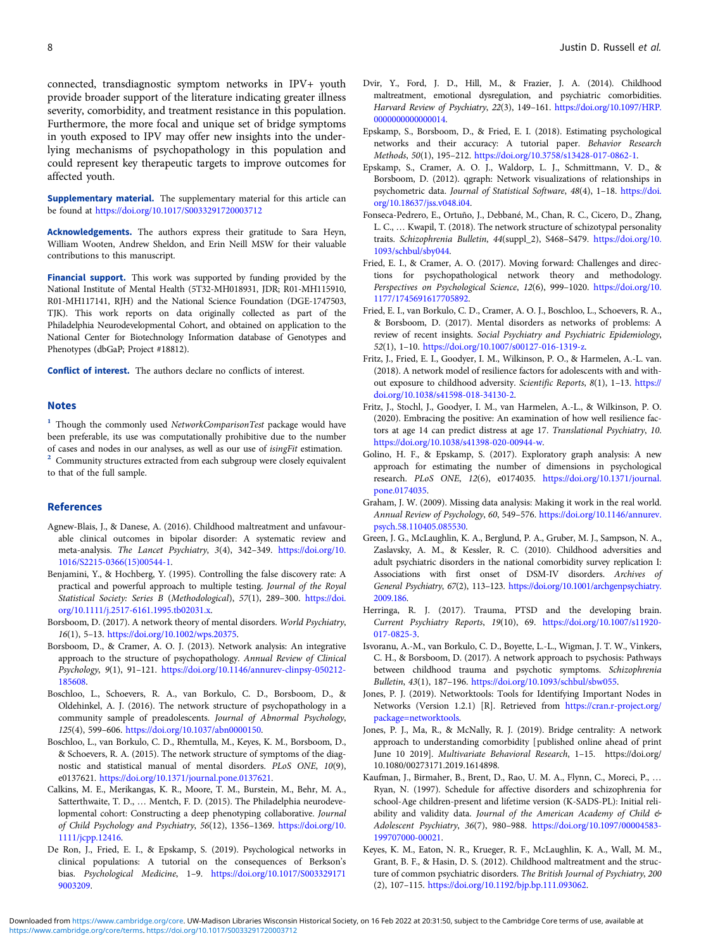<span id="page-7-0"></span>connected, transdiagnostic symptom networks in IPV+ youth provide broader support of the literature indicating greater illness severity, comorbidity, and treatment resistance in this population. Furthermore, the more focal and unique set of bridge symptoms in youth exposed to IPV may offer new insights into the underlying mechanisms of psychopathology in this population and could represent key therapeutic targets to improve outcomes for affected youth.

Supplementary material. The supplementary material for this article can be found at <https://doi.org/10.1017/S0033291720003712>

Acknowledgements. The authors express their gratitude to Sara Heyn, William Wooten, Andrew Sheldon, and Erin Neill MSW for their valuable contributions to this manuscript.

Financial support. This work was supported by funding provided by the National Institute of Mental Health (5T32-MH018931, JDR; R01-MH115910, R01-MH117141, RJH) and the National Science Foundation (DGE-1747503, TJK). This work reports on data originally collected as part of the Philadelphia Neurodevelopmental Cohort, and obtained on application to the National Center for Biotechnology Information database of Genotypes and Phenotypes (dbGaP; Project #18812).

Conflict of interest. The authors declare no conflicts of interest.

#### Notes

<sup>1</sup> Though the commonly used NetworkComparisonTest package would have been preferable, its use was computationally prohibitive due to the number of cases and nodes in our analyses, as well as our use of  $\emph{isingFit}$  estimation.  $^2$  Community structures extracted from each subgroup were closely equivalent to that of the full sample.

#### References

- Agnew-Blais, J., & Danese, A. (2016). Childhood maltreatment and unfavourable clinical outcomes in bipolar disorder: A systematic review and meta-analysis. The Lancet Psychiatry, 3(4), 342–349. [https://doi.org/10.](https://doi.org/10.1016/S2215-0366(15)00544-1) [1016/S2215-0366\(15\)00544-1.](https://doi.org/10.1016/S2215-0366(15)00544-1)
- Benjamini, Y., & Hochberg, Y. (1995). Controlling the false discovery rate: A practical and powerful approach to multiple testing. Journal of the Royal Statistical Society: Series B (Methodological), 57(1), 289-300. [https://doi.](https://doi.org/10.1111/j.2517-6161.1995.tb02031.x) [org/10.1111/j.2517-6161.1995.tb02031.x.](https://doi.org/10.1111/j.2517-6161.1995.tb02031.x)
- Borsboom, D. (2017). A network theory of mental disorders. World Psychiatry, 16(1), 5–13. [https://doi.org/10.1002/wps.20375.](https://doi.org/10.1002/wps.20375)
- Borsboom, D., & Cramer, A. O. J. (2013). Network analysis: An integrative approach to the structure of psychopathology. Annual Review of Clinical Psychology, 9(1), 91–121. [https://doi.org/10.1146/annurev-clinpsy-050212-](https://doi.org/10.1146/annurev-clinpsy-050212-185608) [185608.](https://doi.org/10.1146/annurev-clinpsy-050212-185608)
- Boschloo, L., Schoevers, R. A., van Borkulo, C. D., Borsboom, D., & Oldehinkel, A. J. (2016). The network structure of psychopathology in a community sample of preadolescents. Journal of Abnormal Psychology, 125(4), 599–606. <https://doi.org/10.1037/abn0000150>.
- Boschloo, L., van Borkulo, C. D., Rhemtulla, M., Keyes, K. M., Borsboom, D., & Schoevers, R. A. (2015). The network structure of symptoms of the diagnostic and statistical manual of mental disorders. PLoS ONE, 10(9), e0137621. [https://doi.org/10.1371/journal.pone.0137621.](https://doi.org/10.1371/journal.pone.0137621)
- Calkins, M. E., Merikangas, K. R., Moore, T. M., Burstein, M., Behr, M. A., Satterthwaite, T. D., … Mentch, F. D. (2015). The Philadelphia neurodevelopmental cohort: Constructing a deep phenotyping collaborative. Journal of Child Psychology and Psychiatry, 56(12), 1356–1369. [https://doi.org/10.](https://doi.org/10.1111/jcpp.12416) [1111/jcpp.12416](https://doi.org/10.1111/jcpp.12416).
- De Ron, J., Fried, E. I., & Epskamp, S. (2019). Psychological networks in clinical populations: A tutorial on the consequences of Berkson's bias. Psychological Medicine, 1–9. [https://doi.org/10.1017/S003329171](https://doi.org/10.1017/S0033291719003209) [9003209](https://doi.org/10.1017/S0033291719003209).
- Dvir, Y., Ford, J. D., Hill, M., & Frazier, J. A. (2014). Childhood maltreatment, emotional dysregulation, and psychiatric comorbidities. Harvard Review of Psychiatry, 22(3), 149–161. [https://doi.org/10.1097/HRP.](https://doi.org/10.1097/HRP.0000000000000014) [0000000000000014](https://doi.org/10.1097/HRP.0000000000000014).
- Epskamp, S., Borsboom, D., & Fried, E. I. (2018). Estimating psychological networks and their accuracy: A tutorial paper. Behavior Research Methods, 50(1), 195–212. [https://doi.org/10.3758/s13428-017-0862-1.](https://doi.org/10.3758/s13428-017-0862-1)
- Epskamp, S., Cramer, A. O. J., Waldorp, L. J., Schmittmann, V. D., & Borsboom, D. (2012). qgraph: Network visualizations of relationships in psychometric data. Journal of Statistical Software, 48(4), 1–18. [https://doi.](https://doi.org/10.18637/jss.v048.i04) [org/10.18637/jss.v048.i04.](https://doi.org/10.18637/jss.v048.i04)
- Fonseca-Pedrero, E., Ortuño, J., Debbané, M., Chan, R. C., Cicero, D., Zhang, L. C., … Kwapil, T. (2018). The network structure of schizotypal personality traits. Schizophrenia Bulletin, 44(suppl\_2), S468–S479. [https://doi.org/10.](https://doi.org/10.1093/schbul/sby044) [1093/schbul/sby044](https://doi.org/10.1093/schbul/sby044).
- Fried, E. I., & Cramer, A. O. (2017). Moving forward: Challenges and directions for psychopathological network theory and methodology. Perspectives on Psychological Science, 12(6), 999–1020. [https://doi.org/10.](https://doi.org/10.1177/1745691617705892) [1177/1745691617705892](https://doi.org/10.1177/1745691617705892).
- Fried, E. I., van Borkulo, C. D., Cramer, A. O. J., Boschloo, L., Schoevers, R. A., & Borsboom, D. (2017). Mental disorders as networks of problems: A review of recent insights. Social Psychiatry and Psychiatric Epidemiology, 52(1), 1–10. [https://doi.org/10.1007/s00127-016-1319-z.](https://doi.org/10.1007/s00127-016-1319-z)
- Fritz, J., Fried, E. I., Goodyer, I. M., Wilkinson, P. O., & Harmelen, A.-L. van. (2018). A network model of resilience factors for adolescents with and without exposure to childhood adversity. Scientific Reports, 8(1), 1–13. [https://](https://doi.org/10.1038/s41598-018-34130-2) [doi.org/10.1038/s41598-018-34130-2.](https://doi.org/10.1038/s41598-018-34130-2)
- Fritz, J., Stochl, J., Goodyer, I. M., van Harmelen, A.-L., & Wilkinson, P. O. (2020). Embracing the positive: An examination of how well resilience factors at age 14 can predict distress at age 17. Translational Psychiatry, 10. <https://doi.org/10.1038/s41398-020-00944-w>.
- Golino, H. F., & Epskamp, S. (2017). Exploratory graph analysis: A new approach for estimating the number of dimensions in psychological research. PLoS ONE, 12(6), e0174035. [https://doi.org/10.1371/journal.](https://doi.org/10.1371/journal.pone.0174035) [pone.0174035.](https://doi.org/10.1371/journal.pone.0174035)
- Graham, J. W. (2009). Missing data analysis: Making it work in the real world. Annual Review of Psychology, 60, 549–576. [https://doi.org/10.1146/annurev.](https://doi.org/10.1146/annurev.psych.58.110405.085530) [psych.58.110405.085530](https://doi.org/10.1146/annurev.psych.58.110405.085530).
- Green, J. G., McLaughlin, K. A., Berglund, P. A., Gruber, M. J., Sampson, N. A., Zaslavsky, A. M., & Kessler, R. C. (2010). Childhood adversities and adult psychiatric disorders in the national comorbidity survey replication I: Associations with first onset of DSM-IV disorders. Archives of General Psychiatry, 67(2), 113–123. [https://doi.org/10.1001/archgenpsychiatry.](https://doi.org/10.1001/archgenpsychiatry.2009.186) [2009.186.](https://doi.org/10.1001/archgenpsychiatry.2009.186)
- Herringa, R. J. (2017). Trauma, PTSD and the developing brain. Current Psychiatry Reports, 19(10), 69. [https://doi.org/10.1007/s11920-](https://doi.org/10.1007/s11920-017-0825-3) [017-0825-3.](https://doi.org/10.1007/s11920-017-0825-3)
- Isvoranu, A.-M., van Borkulo, C. D., Boyette, L.-L., Wigman, J. T. W., Vinkers, C. H., & Borsboom, D. (2017). A network approach to psychosis: Pathways between childhood trauma and psychotic symptoms. Schizophrenia Bulletin, 43(1), 187–196. <https://doi.org/10.1093/schbul/sbw055>.
- Jones, P. J. (2019). Networktools: Tools for Identifying Important Nodes in Networks (Version 1.2.1) [R]. Retrieved from [https://cran.r-project.org/](https://cran.r-project.org/package=networktools) [package=networktools.](https://cran.r-project.org/package=networktools)
- Jones, P. J., Ma, R., & McNally, R. J. (2019). Bridge centrality: A network approach to understanding comorbidity [published online ahead of print June 10 2019]. Multivariate Behavioral Research, 1–15. https://doi.org/ 10.1080/00273171.2019.1614898.
- Kaufman, J., Birmaher, B., Brent, D., Rao, U. M. A., Flynn, C., Moreci, P., … Ryan, N. (1997). Schedule for affective disorders and schizophrenia for school-Age children-present and lifetime version (K-SADS-PL): Initial reliability and validity data. Journal of the American Academy of Child & Adolescent Psychiatry, 36(7), 980–988. [https://doi.org/10.1097/00004583-](https://doi.org/10.1097/00004583-199707000-00021) [199707000-00021.](https://doi.org/10.1097/00004583-199707000-00021)
- Keyes, K. M., Eaton, N. R., Krueger, R. F., McLaughlin, K. A., Wall, M. M., Grant, B. F., & Hasin, D. S. (2012). Childhood maltreatment and the structure of common psychiatric disorders. The British Journal of Psychiatry, 200 (2), 107–115. [https://doi.org/10.1192/bjp.bp.111.093062.](https://doi.org/10.1192/bjp.bp.111.093062)